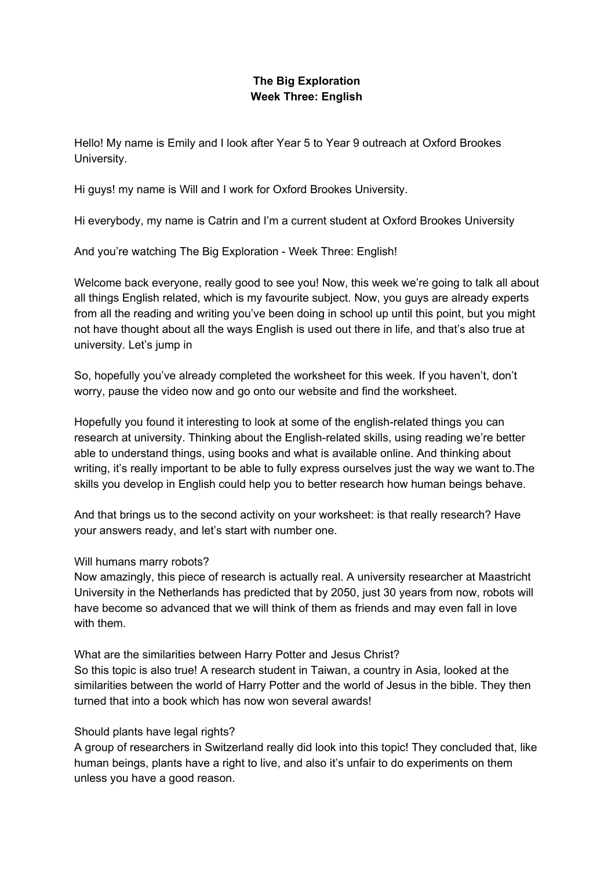# **The Big Exploration Week Three: English**

Hello! My name is Emily and I look after Year 5 to Year 9 outreach at Oxford Brookes University.

Hi guys! my name is Will and I work for Oxford Brookes University.

Hi everybody, my name is Catrin and I'm a current student at Oxford Brookes University

And you're watching The Big Exploration - Week Three: English!

Welcome back everyone, really good to see you! Now, this week we're going to talk all about all things English related, which is my favourite subject. Now, you guys are already experts from all the reading and writing you've been doing in school up until this point, but you might not have thought about all the ways English is used out there in life, and that's also true at university. Let's jump in

So, hopefully you've already completed the worksheet for this week. If you haven't, don't worry, pause the video now and go onto our website and find the worksheet.

Hopefully you found it interesting to look at some of the english-related things you can research at university. Thinking about the English-related skills, using reading we're better able to understand things, using books and what is available online. And thinking about writing, it's really important to be able to fully express ourselves just the way we want to.The skills you develop in English could help you to better research how human beings behave.

And that brings us to the second activity on your worksheet: is that really research? Have your answers ready, and let's start with number one.

#### Will humans marry robots?

Now amazingly, this piece of research is actually real. A university researcher at Maastricht University in the Netherlands has predicted that by 2050, just 30 years from now, robots will have become so advanced that we will think of them as friends and may even fall in love with them.

What are the similarities between Harry Potter and Jesus Christ? So this topic is also true! A research student in Taiwan, a country in Asia, looked at the similarities between the world of Harry Potter and the world of Jesus in the bible. They then turned that into a book which has now won several awards!

## Should plants have legal rights?

A group of researchers in Switzerland really did look into this topic! They concluded that, like human beings, plants have a right to live, and also it's unfair to do experiments on them unless you have a good reason.